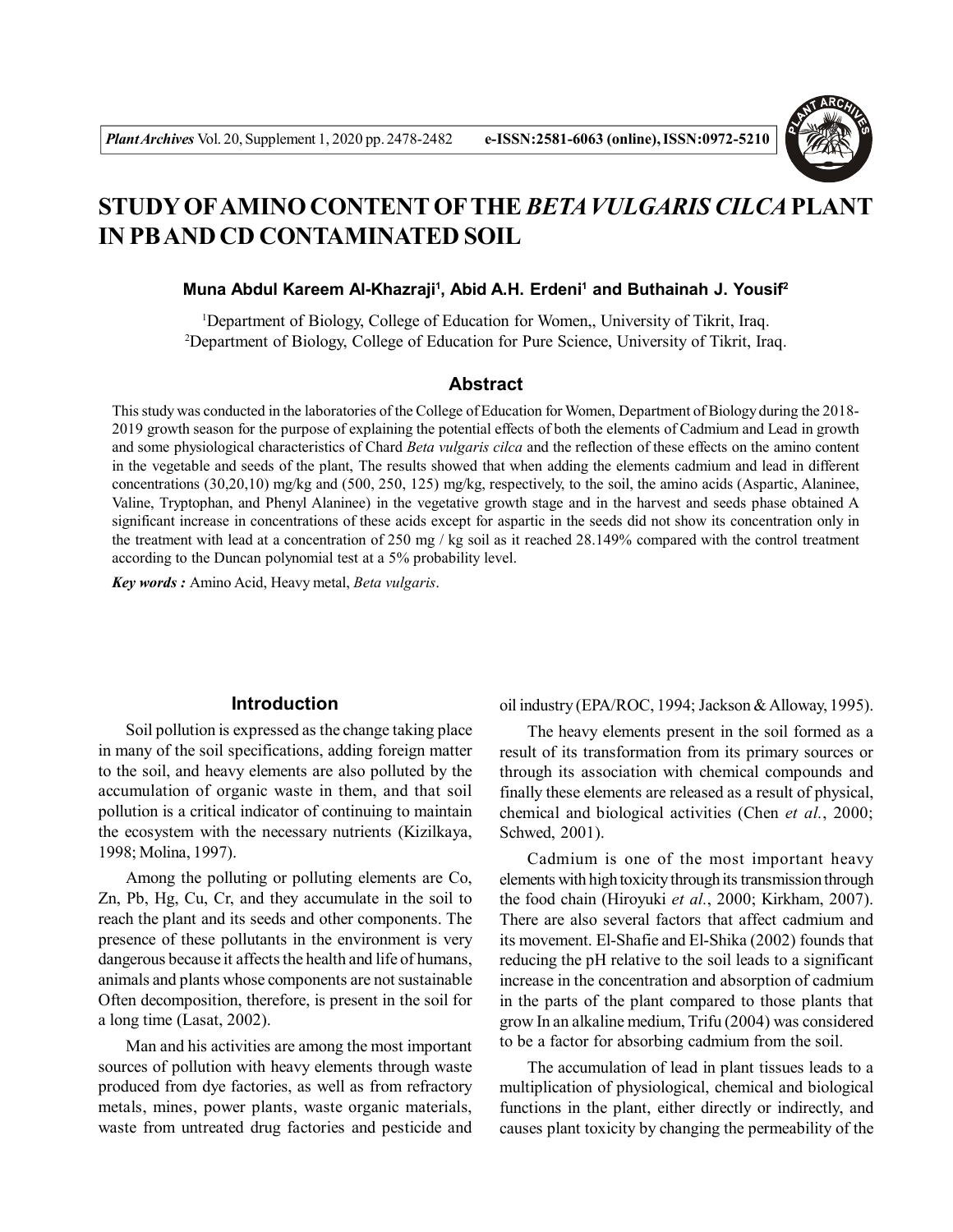

# **STUDY OFAMINO CONTENT OFTHE** *BETA VULGARIS CILCA* **PLANT IN PB AND CD CONTAMINATED SOIL**

#### **Muna Abdul Kareem Al-Khazraji<sup>1</sup> , Abid A.H. Erdeni<sup>1</sup> and Buthainah J. Yousif<sup>2</sup>**

<sup>1</sup>Department of Biology, College of Education for Women,, University of Tikrit, Iraq. <sup>2</sup>Department of Biology, College of Education for Pure Science, University of Tikrit, Iraq.

## **Abstract**

This study was conducted in the laboratories of the College of Education for Women, Department of Biology during the 2018- 2019 growth season for the purpose of explaining the potential effects of both the elements of Cadmium and Lead in growth and some physiological characteristics of Chard *Beta vulgaris cilca* and the reflection of these effects on the amino content in the vegetable and seeds of the plant, The results showed that when adding the elements cadmium and lead in different concentrations (30,20,10) mg/kg and (500, 250, 125) mg/kg, respectively, to the soil, the amino acids (Aspartic, Alaninee, Valine, Tryptophan, and Phenyl Alaninee) in the vegetative growth stage and in the harvest and seeds phase obtained A significant increase in concentrations of these acids except for aspartic in the seeds did not show its concentration only in the treatment with lead at a concentration of 250 mg / kg soil as it reached 28.149% compared with the control treatment according to the Duncan polynomial test at a 5% probability level.

*Key words :* Amino Acid, Heavy metal, *Beta vulgaris*.

## **Introduction**

Soil pollution is expressed as the change taking place in many of the soil specifications, adding foreign matter to the soil, and heavy elements are also polluted by the accumulation of organic waste in them, and that soil pollution is a critical indicator of continuing to maintain the ecosystem with the necessary nutrients (Kizilkaya, 1998; Molina, 1997).

Among the polluting or polluting elements are Co, Zn, Pb, Hg, Cu, Cr, and they accumulate in the soil to reach the plant and its seeds and other components. The presence of these pollutants in the environment is very dangerous because it affects the health and life of humans, animals and plants whose components are not sustainable Often decomposition, therefore, is present in the soil for a long time (Lasat, 2002).

Man and his activities are among the most important sources of pollution with heavy elements through waste produced from dye factories, as well as from refractory metals, mines, power plants, waste organic materials, waste from untreated drug factories and pesticide and oil industry (EPA/ROC, 1994; Jackson & Alloway, 1995).

The heavy elements present in the soil formed as a result of its transformation from its primary sources or through its association with chemical compounds and finally these elements are released as a result of physical, chemical and biological activities (Chen *et al.*, 2000; Schwed, 2001).

Cadmium is one of the most important heavy elements with high toxicity through its transmission through the food chain (Hiroyuki *et al.*, 2000; Kirkham, 2007). There are also several factors that affect cadmium and its movement. El-Shafie and El-Shika (2002) founds that reducing the pH relative to the soil leads to a significant increase in the concentration and absorption of cadmium in the parts of the plant compared to those plants that grow In an alkaline medium, Trifu (2004) was considered to be a factor for absorbing cadmium from the soil.

The accumulation of lead in plant tissues leads to a multiplication of physiological, chemical and biological functions in the plant, either directly or indirectly, and causes plant toxicity by changing the permeability of the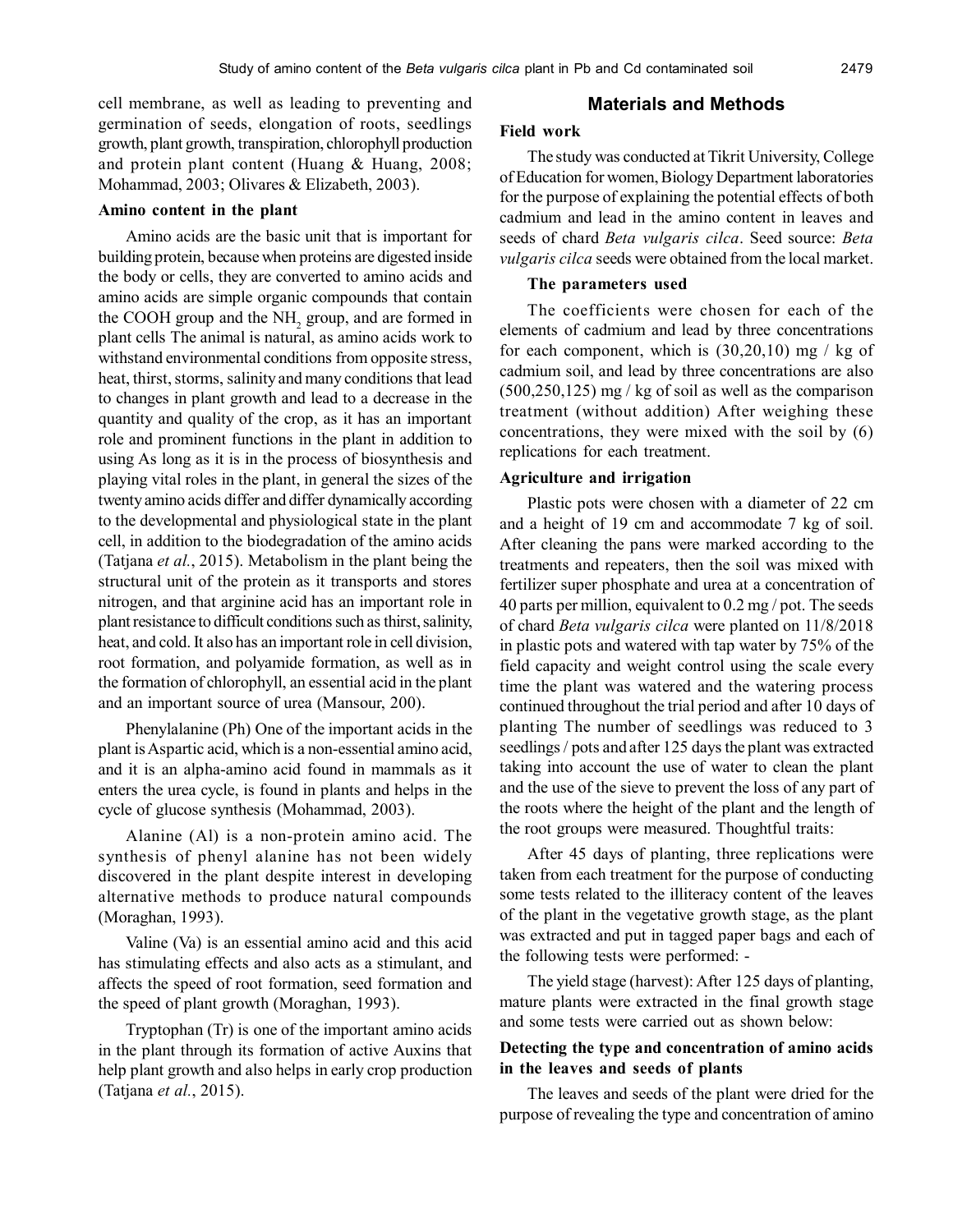cell membrane, as well as leading to preventing and germination of seeds, elongation of roots, seedlings growth, plant growth, transpiration, chlorophyll production and protein plant content (Huang & Huang, 2008; Mohammad, 2003; Olivares & Elizabeth, 2003).

#### **Amino content in the plant**

Amino acids are the basic unit that is important for building protein, because when proteins are digested inside the body or cells, they are converted to amino acids and amino acids are simple organic compounds that contain the COOH group and the  $NH<sub>2</sub>$  group, and are formed in plant cells The animal is natural, as amino acids work to withstand environmental conditions from opposite stress, heat, thirst, storms, salinity and many conditions that lead to changes in plant growth and lead to a decrease in the quantity and quality of the crop, as it has an important role and prominent functions in the plant in addition to using As long as it is in the process of biosynthesis and playing vital roles in the plant, in general the sizes of the twenty amino acids differ and differ dynamically according to the developmental and physiological state in the plant cell, in addition to the biodegradation of the amino acids (Tatjana *et al.*, 2015). Metabolism in the plant being the structural unit of the protein as it transports and stores nitrogen, and that arginine acid has an important role in plant resistance to difficult conditions such as thirst, salinity, heat, and cold. It also has an important role in cell division, root formation, and polyamide formation, as well as in the formation of chlorophyll, an essential acid in the plant and an important source of urea (Mansour, 200).

Phenylalanine (Ph) One of the important acids in the plant is Aspartic acid, which is a non-essential amino acid, and it is an alpha-amino acid found in mammals as it enters the urea cycle, is found in plants and helps in the cycle of glucose synthesis (Mohammad, 2003).

Alanine (Al) is a non-protein amino acid. The synthesis of phenyl alanine has not been widely discovered in the plant despite interest in developing alternative methods to produce natural compounds (Moraghan, 1993).

Valine (Va) is an essential amino acid and this acid has stimulating effects and also acts as a stimulant, and affects the speed of root formation, seed formation and the speed of plant growth (Moraghan, 1993).

Tryptophan (Tr) is one of the important amino acids in the plant through its formation of active Auxins that help plant growth and also helps in early crop production (Tatjana *et al.*, 2015).

# **Materials and Methods**

## **Field work**

The study was conducted at Tikrit University, College of Education for women, Biology Department laboratories for the purpose of explaining the potential effects of both cadmium and lead in the amino content in leaves and seeds of chard *Beta vulgaris cilca*. Seed source: *Beta vulgaris cilca* seeds were obtained from the local market.

#### **The parameters used**

The coefficients were chosen for each of the elements of cadmium and lead by three concentrations for each component, which is  $(30,20,10)$  mg / kg of cadmium soil, and lead by three concentrations are also (500,250,125) mg / kg of soil as well as the comparison treatment (without addition) After weighing these concentrations, they were mixed with the soil by (6) replications for each treatment.

## **Agriculture and irrigation**

Plastic pots were chosen with a diameter of 22 cm and a height of 19 cm and accommodate 7 kg of soil. After cleaning the pans were marked according to the treatments and repeaters, then the soil was mixed with fertilizer super phosphate and urea at a concentration of 40 parts per million, equivalent to 0.2 mg / pot. The seeds of chard *Beta vulgaris cilca* were planted on 11/8/2018 in plastic pots and watered with tap water by 75% of the field capacity and weight control using the scale every time the plant was watered and the watering process continued throughout the trial period and after 10 days of planting The number of seedlings was reduced to 3 seedlings / pots and after 125 days the plant was extracted taking into account the use of water to clean the plant and the use of the sieve to prevent the loss of any part of the roots where the height of the plant and the length of the root groups were measured. Thoughtful traits:

After 45 days of planting, three replications were taken from each treatment for the purpose of conducting some tests related to the illiteracy content of the leaves of the plant in the vegetative growth stage, as the plant was extracted and put in tagged paper bags and each of the following tests were performed: -

The yield stage (harvest): After 125 days of planting, mature plants were extracted in the final growth stage and some tests were carried out as shown below:

## **Detecting the type and concentration of amino acids in the leaves and seeds of plants**

The leaves and seeds of the plant were dried for the purpose of revealing the type and concentration of amino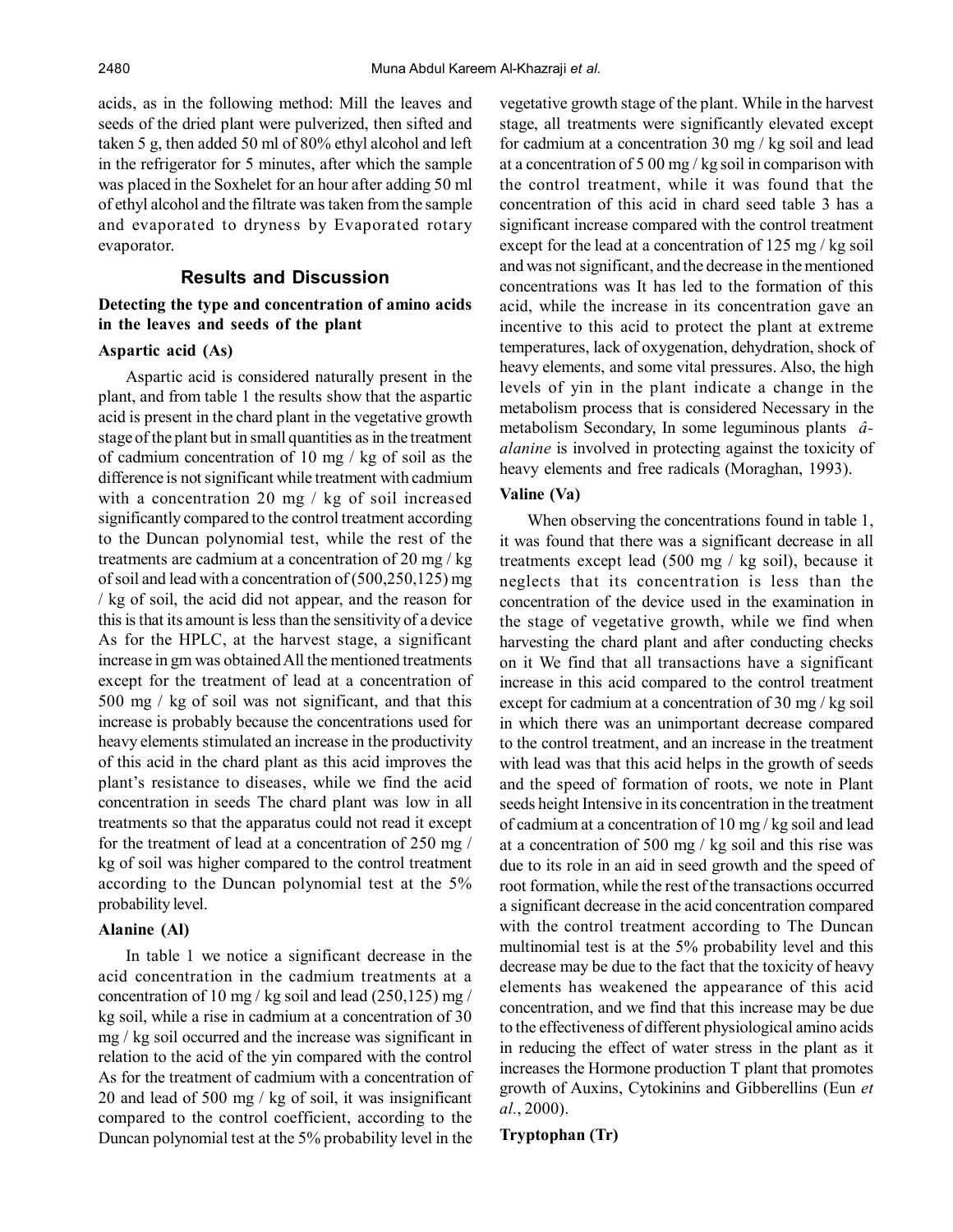acids, as in the following method: Mill the leaves and seeds of the dried plant were pulverized, then sifted and taken 5 g, then added 50 ml of 80% ethyl alcohol and left in the refrigerator for 5 minutes, after which the sample was placed in the Soxhelet for an hour after adding 50 ml of ethyl alcohol and the filtrate was taken from the sample and evaporated to dryness by Evaporated rotary evaporator.

# **Results and Discussion**

## **Detecting the type and concentration of amino acids in the leaves and seeds of the plant**

# **Aspartic acid (As)**

Aspartic acid is considered naturally present in the plant, and from table 1 the results show that the aspartic acid is present in the chard plant in the vegetative growth stage of the plant but in small quantities as in the treatment of cadmium concentration of 10 mg / kg of soil as the difference is not significant while treatment with cadmium with a concentration 20 mg / kg of soil increased significantly compared to the control treatment according to the Duncan polynomial test, while the rest of the treatments are cadmium at a concentration of 20 mg / kg of soil and lead with a concentration of (500,250,125) mg / kg of soil, the acid did not appear, and the reason for this is that its amount is less than the sensitivity of a device As for the HPLC, at the harvest stage, a significant increase in gm was obtained All the mentioned treatments except for the treatment of lead at a concentration of 500 mg / kg of soil was not significant, and that this increase is probably because the concentrations used for heavy elements stimulated an increase in the productivity of this acid in the chard plant as this acid improves the plant's resistance to diseases, while we find the acid concentration in seeds The chard plant was low in all treatments so that the apparatus could not read it except for the treatment of lead at a concentration of 250 mg / kg of soil was higher compared to the control treatment according to the Duncan polynomial test at the 5% probability level.

## **Alanine (Al)**

In table 1 we notice a significant decrease in the acid concentration in the cadmium treatments at a concentration of 10 mg / kg soil and lead  $(250,125)$  mg / kg soil, while a rise in cadmium at a concentration of 30 mg / kg soil occurred and the increase was significant in relation to the acid of the yin compared with the control As for the treatment of cadmium with a concentration of 20 and lead of 500 mg / kg of soil, it was insignificant compared to the control coefficient, according to the Duncan polynomial test at the 5% probability level in the

vegetative growth stage of the plant. While in the harvest stage, all treatments were significantly elevated except for cadmium at a concentration 30 mg / kg soil and lead at a concentration of 5 00 mg / kg soil in comparison with the control treatment, while it was found that the concentration of this acid in chard seed table 3 has a significant increase compared with the control treatment except for the lead at a concentration of 125 mg / kg soil and was not significant, and the decrease in the mentioned concentrations was It has led to the formation of this acid, while the increase in its concentration gave an incentive to this acid to protect the plant at extreme temperatures, lack of oxygenation, dehydration, shock of heavy elements, and some vital pressures. Also, the high levels of yin in the plant indicate a change in the metabolism process that is considered Necessary in the metabolism Secondary, In some leguminous plants *âalanine* is involved in protecting against the toxicity of heavy elements and free radicals (Moraghan, 1993).

## **Valine (Va)**

When observing the concentrations found in table 1, it was found that there was a significant decrease in all treatments except lead (500 mg / kg soil), because it neglects that its concentration is less than the concentration of the device used in the examination in the stage of vegetative growth, while we find when harvesting the chard plant and after conducting checks on it We find that all transactions have a significant increase in this acid compared to the control treatment except for cadmium at a concentration of 30 mg / kg soil in which there was an unimportant decrease compared to the control treatment, and an increase in the treatment with lead was that this acid helps in the growth of seeds and the speed of formation of roots, we note in Plant seeds height Intensive in its concentration in the treatment of cadmium at a concentration of 10 mg / kg soil and lead at a concentration of 500 mg / kg soil and this rise was due to its role in an aid in seed growth and the speed of root formation, while the rest of the transactions occurred a significant decrease in the acid concentration compared with the control treatment according to The Duncan multinomial test is at the 5% probability level and this decrease may be due to the fact that the toxicity of heavy elements has weakened the appearance of this acid concentration, and we find that this increase may be due to the effectiveness of different physiological amino acids in reducing the effect of water stress in the plant as it increases the Hormone production T plant that promotes growth of Auxins, Cytokinins and Gibberellins (Eun *et al.*, 2000).

## **Tryptophan (Tr)**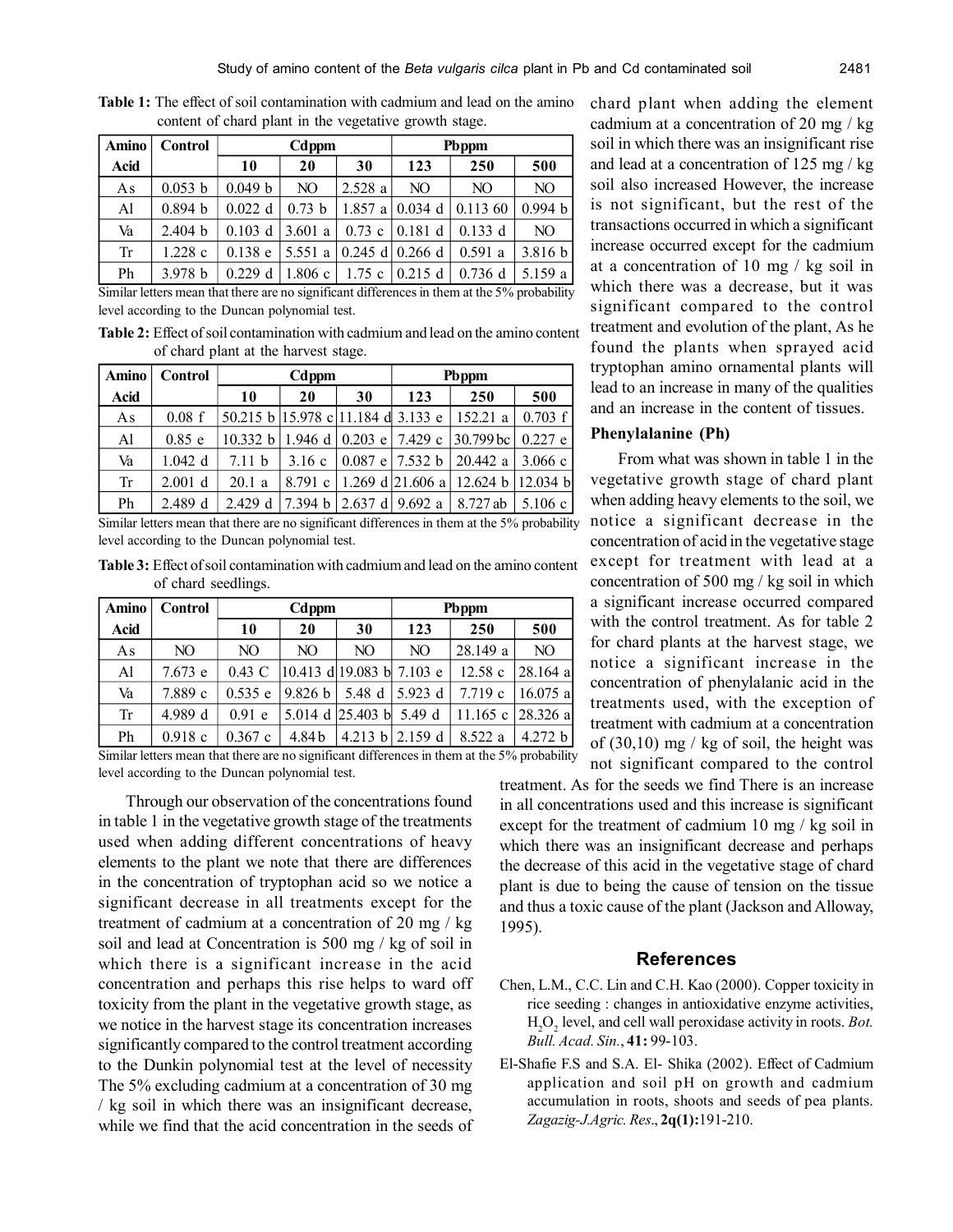| <b>Amino</b> | <b>Control</b> | Cdppm     |         |          | Pbppm               |           |         |
|--------------|----------------|-----------|---------|----------|---------------------|-----------|---------|
| Acid         |                | 10        | 20      | 30       | 123                 | 250       | 500     |
| As           | 0.053 b        | 0.049 b   | NO.     | 2.528a   | NO.                 | NO.       | NO.     |
| Al           | 0.894 b        | $0.022$ d | 0.73 h  | 1.857a   | 0.034               | 0.11360   | 0.994 b |
| Va           | 2.404 b        | $0.103$ d | 3.601a  | $0.73$ c | 10.181 d            | $0.133$ d | NO.     |
| Tr           | 1.228c         | $0.138$ e | 5.551 a |          | $0.245$ d $0.266$ d | 0.591a    | 3.816 b |
| Ph           | 3.978 b        | $0.229$ d | 1.806c  | 1.75c    | $0.215$ d           | $0.736$ d | 5.159 a |

**Table 1:** The effect of soil contamination with cadmium and lead on the amino content of chard plant in the vegetative growth stage.

Similar letters mean that there are no significant differences in them at the 5% probability level according to the Duncan polynomial test.

**Table 2:** Effect of soil contamination with cadmium and lead on the amino content of chard plant at the harvest stage.

| <b>Amino</b> | <b>Control</b> | Cdppm                              |       |    | Pbppm                       |                                                                      |         |
|--------------|----------------|------------------------------------|-------|----|-----------------------------|----------------------------------------------------------------------|---------|
| <b>Acid</b>  |                | 10                                 | 20    | 30 | 123                         | 250                                                                  | 500     |
| As           | 0.08 f         | 50.215 b 15.978 c 11.184 d 3.133 e |       |    |                             | 152.21a                                                              | 0.703 f |
| AI           | $0.85$ e       |                                    |       |    |                             | 10.332 b   1.946 d   0.203 e   7.429 c   30.799 bc   0.227 e         |         |
| Va           | $1.042$ d      | 7.11 b                             | 3.16c |    |                             | $\vert 0.087 \vert e \vert 7.532 \vert b \vert 20.442 \vert a \vert$ | 3.066c  |
| Tr           | $2.001$ d      | 20.1a                              |       |    |                             | 8.791 c   1.269 d   21.606 a   12.624 b   12.034 b                   |         |
| Ph           | 2.489 d        | 2.429 d                            |       |    | 7.394 b   2.637 d   9.692 a | 8.727 ab                                                             | 5.106c  |

Similar letters mean that there are no significant differences in them at the 5% probability level according to the Duncan polynomial test.

**Table 3:** Effect of soil contamination with cadmium and lead on the amino content of chard seedlings.

| <b>Amino</b> | <b>Control</b> | Cdppm           |                                 |                                                                     | Pbppm              |          |                   |
|--------------|----------------|-----------------|---------------------------------|---------------------------------------------------------------------|--------------------|----------|-------------------|
| <b>Acid</b>  |                | 10              | 20                              | 30                                                                  | 123                | 250      | 500               |
| As           | NO.            | NO.             | NO                              | NO                                                                  | NO                 | 28.149 a | NO                |
| Al           | 7.673 e        | $0.43\text{ C}$ | $ 10.413$ d $ 19.083$ b 7.103 e |                                                                     |                    | 12.58c   | $28.164$ a        |
| Va           | 7.889 c        | 0.535 e         | 9.826 b  5.48 d  5.923 d        |                                                                     |                    | 7.719c   | $16.075$ al       |
| Tr           | 4.989 d        | $0.91$ e        |                                 | $\vert 5.014 \vert d \vert 25.403 \vert b \vert 5.49 \vert d \vert$ |                    |          | 11.165 c 28.326 a |
| Ph           | $0.918$ c      | 0.367c          | 4.84b                           |                                                                     | 4.213 b $ 2.159$ d | 8.522 a  | 4.272 b           |

Similar letters mean that there are no significant differences in them at the 5% probability level according to the Duncan polynomial test.

Through our observation of the concentrations found in table 1 in the vegetative growth stage of the treatments used when adding different concentrations of heavy elements to the plant we note that there are differences in the concentration of tryptophan acid so we notice a significant decrease in all treatments except for the treatment of cadmium at a concentration of 20 mg / kg soil and lead at Concentration is 500 mg / kg of soil in which there is a significant increase in the acid concentration and perhaps this rise helps to ward off toxicity from the plant in the vegetative growth stage, as we notice in the harvest stage its concentration increases significantly compared to the control treatment according to the Dunkin polynomial test at the level of necessity The 5% excluding cadmium at a concentration of 30 mg / kg soil in which there was an insignificant decrease, while we find that the acid concentration in the seeds of chard plant when adding the element cadmium at a concentration of 20 mg / kg soil in which there was an insignificant rise and lead at a concentration of 125 mg / kg soil also increased However, the increase is not significant, but the rest of the transactions occurred in which a significant increase occurred except for the cadmium at a concentration of 10 mg / kg soil in which there was a decrease, but it was significant compared to the control treatment and evolution of the plant, As he found the plants when sprayed acid tryptophan amino ornamental plants will lead to an increase in many of the qualities and an increase in the content of tissues.

#### **Phenylalanine (Ph)**

From what was shown in table 1 in the vegetative growth stage of chard plant when adding heavy elements to the soil, we notice a significant decrease in the concentration of acid in the vegetative stage except for treatment with lead at a concentration of 500 mg / kg soil in which a significant increase occurred compared with the control treatment. As for table 2 for chard plants at the harvest stage, we notice a significant increase in the concentration of phenylalanic acid in the treatments used, with the exception of treatment with cadmium at a concentration of  $(30,10)$  mg / kg of soil, the height was not significant compared to the control

treatment. As for the seeds we find There is an increase in all concentrations used and this increase is significant except for the treatment of cadmium 10 mg / kg soil in which there was an insignificant decrease and perhaps the decrease of this acid in the vegetative stage of chard plant is due to being the cause of tension on the tissue and thus a toxic cause of the plant (Jackson and Alloway, 1995).

## **References**

- Chen, L.M., C.C. Lin and C.H. Kao (2000). Copper toxicity in rice seeding : changes in antioxidative enzyme activities, H2O<sup>2</sup> level, and cell wall peroxidase activity in roots. *Bot. Bull. Acad. Sin.*, **41:** 99-103.
- El-Shafie F.S and S.A. El- Shika (2002). Effect of Cadmium application and soil pH on growth and cadmium accumulation in roots, shoots and seeds of pea plants. *Zagazig-J.Agric. Res*., **2q(1):**191-210.